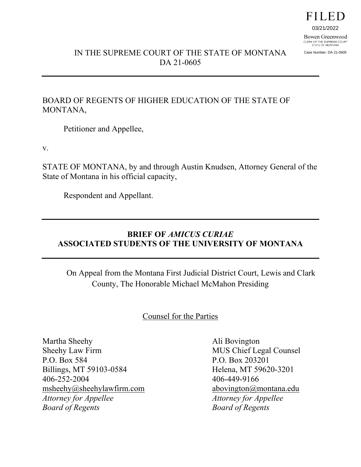# **FILED**

03/21/2022

Bowen Greenwood CLERK OF THE SUPREME COURT<br>STATE OF MONTANA

Case Number: DA 21-0605

## IN THE SUPREME COURT OF THE STATE OF MONTANA DA 21-0605

### BOARD OF REGENTS OF HIGHER EDUCATION OF THE STATE OF MONTANA,

Petitioner and Appellee,

v.

STATE OF MONTANA, by and through Austin Knudsen, Attorney General of the State of Montana in his official capacity,

Respondent and Appellant.

## **BRIEF OF** *AMICUS CURIAE* **ASSOCIATED STUDENTS OF THE UNIVERSITY OF MONTANA**

On Appeal from the Montana First Judicial District Court, Lewis and Clark County, The Honorable Michael McMahon Presiding

Counsel for the Parties

Martha Sheehy Ali Bovington Sheehy Law Firm MUS Chief Legal Counsel P.O. Box 584 P.O. Box 203201 Billings, MT 59103-0584 Helena, MT 59620-3201 406-252-2004 406-449-9166 [msheehy@sheehylawfirm.com](mailto:msheehy@sheehylawfirm.com) abovington@montana.edu *Attorney for Appellee Attorney for Appellee Board of Regents Board of Regents*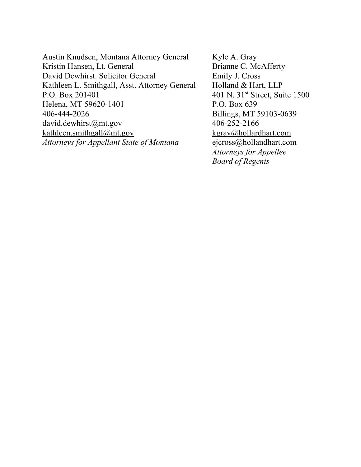Austin Knudsen, Montana Attorney General Kyle A. Gray Kristin Hansen, Lt. General Brianne C. McAfferty David Dewhirst. Solicitor General Emily J. Cross Kathleen L. Smithgall, Asst. Attorney General Holland & Hart, LLP P.O. Box 201401 401 N. 31<sup>st</sup> Street, Suite 1500 Helena, MT 59620-1401 P.O. Box 639 406-444-2026 Billings, MT 59103-0639  $david. dewhirst@mt.gov$  406-252-2166  $kathleen.smithgall@mt.gov$  kgray@hollardhart.com *Attorneys for Appellant State of Montana* [ejcross@hollandhart.com](mailto:ejcross@hollandhart.com)

*Attorneys for Appellee Board of Regents*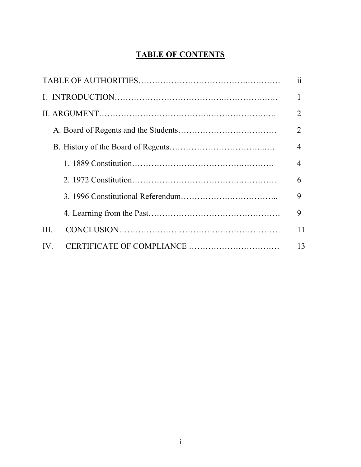## **TABLE OF CONTENTS**

|      | 11             |
|------|----------------|
|      |                |
|      | $\overline{2}$ |
|      | $\overline{2}$ |
|      | $\overline{4}$ |
|      | 4              |
|      | 6              |
|      | 9              |
|      | 9              |
| III. | 11             |
| IV.  | 13             |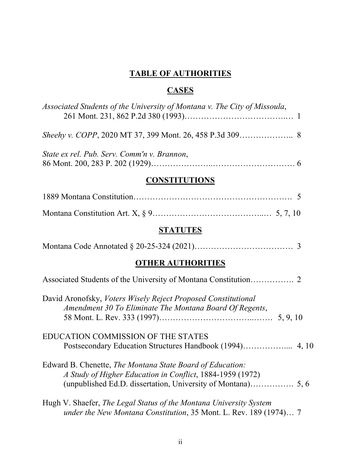## **TABLE OF AUTHORITIES**

## **CASES**

| Associated Students of the University of Montana v. The City of Missoula,                                                |
|--------------------------------------------------------------------------------------------------------------------------|
|                                                                                                                          |
| State ex rel. Pub. Serv. Comm'n v. Brannon,                                                                              |
| <b>CONSTITUTIONS</b>                                                                                                     |
|                                                                                                                          |
|                                                                                                                          |
| <b>STATUTES</b>                                                                                                          |
|                                                                                                                          |
| <b>OTHER AUTHORITIES</b>                                                                                                 |
|                                                                                                                          |
| David Aronofsky, Voters Wisely Reject Proposed Constitutional<br>Amendment 30 To Eliminate The Montana Board Of Regents, |
| EDUCATION COMMISSION OF THE STATES<br>Postsecondary Education Structures Handbook (1994) 4, 10                           |
| Edward B. Chenette, The Montana State Board of Education:<br>A Study of Higher Education in Conflict, 1884-1959 (1972)   |
| Hugh V. Shaefer, The Legal Status of the Montana University System                                                       |

*under the New Montana Constitution*, 35 Mont. L. Rev. 189 (1974)… 7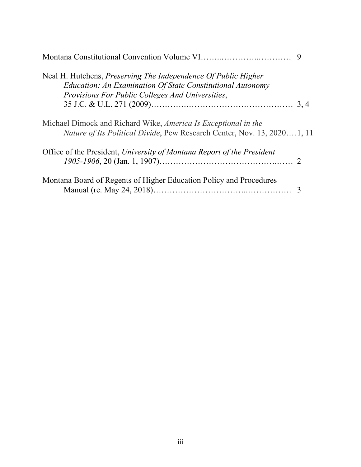| Neal H. Hutchens, <i>Preserving The Independence Of Public Higher</i><br>Education: An Examination Of State Constitutional Autonomy<br>Provisions For Public Colleges And Universities, |
|-----------------------------------------------------------------------------------------------------------------------------------------------------------------------------------------|
|                                                                                                                                                                                         |
| Michael Dimock and Richard Wike, America Is Exceptional in the<br><i>Nature of Its Political Divide, Pew Research Center, Nov. 13, 20201, 11</i>                                        |
| Office of the President, University of Montana Report of the President                                                                                                                  |
| Montana Board of Regents of Higher Education Policy and Procedures                                                                                                                      |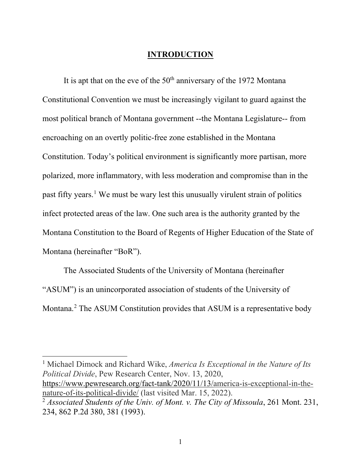### **INTRODUCTION**

It is apt that on the eve of the  $50<sup>th</sup>$  anniversary of the 1972 Montana Constitutional Convention we must be increasingly vigilant to guard against the most political branch of Montana government --the Montana Legislature-- from encroaching on an overtly politic-free zone established in the Montana Constitution. Today's political environment is significantly more partisan, more polarized, more inflammatory, with less moderation and compromise than in the past fifty years.[1](#page-5-0) We must be wary lest this unusually virulent strain of politics infect protected areas of the law. One such area is the authority granted by the Montana Constitution to the Board of Regents of Higher Education of the State of Montana (hereinafter "BoR").

The Associated Students of the University of Montana (hereinafter "ASUM") is an unincorporated association of students of the University of Montana.<sup>[2](#page-5-1)</sup> The ASUM Constitution provides that ASUM is a representative body

<span id="page-5-0"></span><sup>1</sup> Michael Dimock and Richard Wike, *America Is Exceptional in the Nature of Its Political Divide*, Pew Research Center, Nov. 13, 2020, [https://www.pewresearch.org/fact-tank/2020/11/13/a](https://www.pewresearch.org/fact-tank/2020/11/13/)merica-is-exceptional-in-thenature-of-its-political-divide/ (last visited Mar. 15, 2022).

<span id="page-5-1"></span><sup>2</sup> *Associated Students of the Univ. of Mont. v. The City of Missoula*, 261 Mont. 231, 234, 862 P.2d 380, 381 (1993).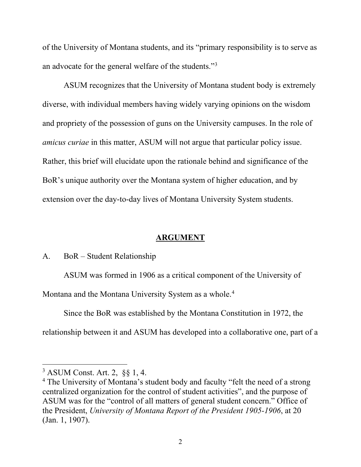of the University of Montana students, and its "primary responsibility is to serve as an advocate for the general welfare of the students."[3](#page-6-0)

ASUM recognizes that the University of Montana student body is extremely diverse, with individual members having widely varying opinions on the wisdom and propriety of the possession of guns on the University campuses. In the role of *amicus curiae* in this matter, ASUM will not argue that particular policy issue. Rather, this brief will elucidate upon the rationale behind and significance of the BoR's unique authority over the Montana system of higher education, and by extension over the day-to-day lives of Montana University System students.

### **ARGUMENT**

#### A. BoR – Student Relationship

ASUM was formed in 1906 as a critical component of the University of

Montana and the Montana University System as a whole.<sup>[4](#page-6-1)</sup>

Since the BoR was established by the Montana Constitution in 1972, the

relationship between it and ASUM has developed into a collaborative one, part of a

<span id="page-6-0"></span><sup>3</sup> ASUM Const. Art. 2, [§§](https://plus.lexis.com/search/?pdmfid=1530671&crid=6b6fadda-5ad0-4d75-ad1d-2464acc88581&pdsearchterms=Flint+v.+Dennison%25252C+488+F.3d+816&pdtypeofsearch=searchboxclick&pdsearchtype=SearchBox&pdstartin=&pdpsf=&pdqttype=and&pdquerytemplateid=&ecomp=s8ttk&earg=pdsf&prid=b1190741-13cb-4478-a842-60ac600f8e9c%23) 1, 4.

<span id="page-6-1"></span><sup>&</sup>lt;sup>4</sup> The University of Montana's student body and faculty "felt the need of a strong centralized organization for the control of student activities", and the purpose of ASUM was for the "control of all matters of general student concern." Office of the President, *University of Montana Report of the President 1905-1906*, at 20 (Jan. 1, 1907).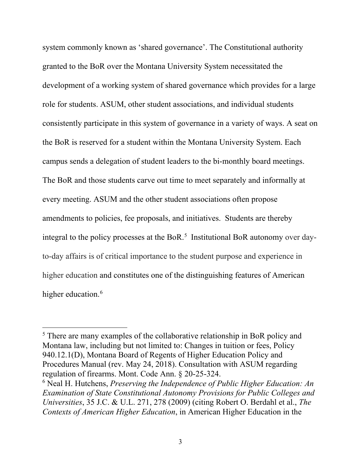system commonly known as 'shared governance'. The Constitutional authority granted to the BoR over the Montana University System necessitated the development of a working system of shared governance which provides for a large role for students. ASUM, other student associations, and individual students consistently participate in this system of governance in a variety of ways. A seat on the BoR is reserved for a student within the Montana University System. Each campus sends a delegation of student leaders to the bi-monthly board meetings. The BoR and those students carve out time to meet separately and informally at every meeting. ASUM and the other student associations often propose amendments to policies, fee proposals, and initiatives. Students are thereby integral to the policy processes at the BoR. [5](#page-7-0) Institutional BoR autonomy over dayto-day affairs is of critical importance to the student purpose and experience in higher education and constitutes one of the distinguishing features of American higher education.<sup>[6](#page-7-1)</sup>

<span id="page-7-0"></span><sup>&</sup>lt;sup>5</sup> There are many examples of the collaborative relationship in BoR policy and Montana law, including but not limited to: Changes in tuition or fees, Policy 940.12.1(D), Montana Board of Regents of Higher Education Policy and Procedures Manual (rev. May 24, 2018). Consultation with ASUM regarding regulation of firearms. Mont. Code Ann. § 20-25-324.

<span id="page-7-1"></span><sup>6</sup> Neal H. Hutchens, *Preserving the Independence of Public Higher Education: An Examination of State Constitutional Autonomy Provisions for Public Colleges and Universities*, 35 J.C. & U.L. 271, 278 (2009) (citing Robert O. Berdahl et al., *The Contexts of American Higher Education*, in American Higher Education in the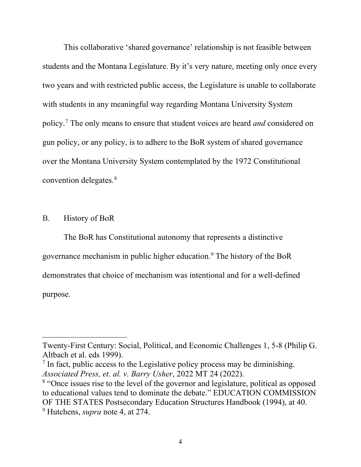This collaborative 'shared governance' relationship is not feasible between students and the Montana Legislature. By it's very nature, meeting only once every two years and with restricted public access, the Legislature is unable to collaborate with students in any meaningful way regarding Montana University System policy.[7](#page-8-0) The only means to ensure that student voices are heard *and* considered on gun policy, or any policy, is to adhere to the BoR system of shared governance over the Montana University System contemplated by the 1972 Constitutional convention delegates.[8](#page-8-1)

### B. History of BoR

 $\overline{a}$ 

The BoR has Constitutional autonomy that represents a distinctive governance mechanism in public higher education.[9](#page-8-2) The history of the BoR demonstrates that choice of mechanism was intentional and for a well-defined purpose.

Twenty-First Century: Social, Political, and Economic Challenges 1, 5-8 (Philip G. Altbach et al. eds 1999).

<span id="page-8-0"></span> $<sup>7</sup>$  In fact, public access to the Legislative policy process may be diminishing.</sup> *Associated Press, et. al. v. Barry Usher*, 2022 MT 24 (2022).

<span id="page-8-2"></span><span id="page-8-1"></span><sup>&</sup>lt;sup>8</sup> "Once issues rise to the level of the governor and legislature, political as opposed to educational values tend to dominate the debate." EDUCATION COMMISSION OF THE STATES Postsecondary Education Structures Handbook (1994), at 40. <sup>9</sup> Hutchens, *supra* note 4, at 274.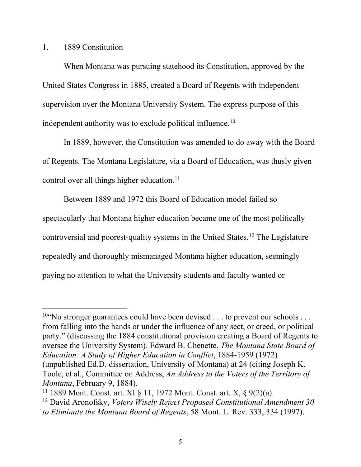#### 1. 1889 Constitution

 $\overline{a}$ 

When Montana was pursuing statehood its Constitution, approved by the United States Congress in 1885, created a Board of Regents with independent supervision over the Montana University System. The express purpose of this independent authority was to exclude political influence.[10](#page-9-0)

In 1889, however, the Constitution was amended to do away with the Board of Regents. The Montana Legislature, via a Board of Education, was thusly given control over all things higher education.<sup>[11](#page-9-1)</sup>

Between 1889 and 1972 this Board of Education model failed so spectacularly that Montana higher education became one of the most politically controversial and poorest-quality systems in the United States.[12](#page-9-2) The Legislature repeatedly and thoroughly mismanaged Montana higher education, seemingly paying no attention to what the University students and faculty wanted or

<span id="page-9-0"></span><sup>&</sup>lt;sup>10"</sup>No stronger guarantees could have been devised  $\dots$  to prevent our schools  $\dots$ from falling into the hands or under the influence of any sect, or creed, or political party." (discussing the 1884 constitutional provision creating a Board of Regents to oversee the University System). Edward B. Chenette, *The Montana State Board of Education: A Study of Higher Education in Conflict*, 1884-1959 (1972) (unpublished Ed.D. dissertation, University of Montana) at 24 (citing Joseph K. Toole, et al., Committee on Address, *An Address to the Voters of the Territory of Montana*, February 9, 1884).

<span id="page-9-1"></span><sup>11</sup> 1889 Mont. Const. art. XI § 11, 1972 Mont. Const. art. X, § 9(2)(a).

<span id="page-9-2"></span><sup>12</sup> David Aronofsky, *Voters Wisely Reject Proposed Constitutional Amendment 30 to Eliminate the Montana Board of Regents*, 58 Mont. L. Rev. 333, 334 (1997).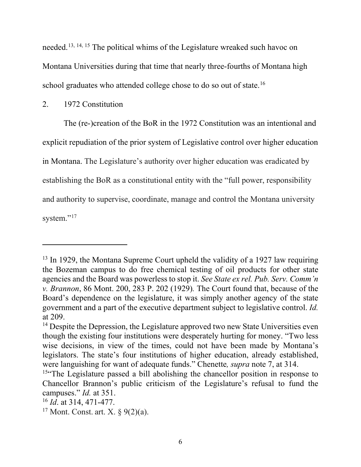needed.[13,](#page-10-0) [14,](#page-10-1) [15](#page-10-2) The political whims of the Legislature wreaked such havoc on Montana Universities during that time that nearly three-fourths of Montana high school graduates who attended college chose to do so out of state.<sup>[16](#page-10-3)</sup>

### 2. 1972 Constitution

The (re-)creation of the BoR in the 1972 Constitution was an intentional and explicit repudiation of the prior system of Legislative control over higher education in Montana. The Legislature's authority over higher education was eradicated by establishing the BoR as a constitutional entity with the "full power, responsibility and authority to supervise, coordinate, manage and control the Montana university system."<sup>[17](#page-10-4)</sup>

<span id="page-10-0"></span><sup>&</sup>lt;sup>13</sup> In 1929, the Montana Supreme Court upheld the validity of a 1927 law requiring the Bozeman campus to do free chemical testing of oil products for other state agencies and the Board was powerless to stop it. *See State ex rel. Pub. Serv. Comm'n v. Brannon*, 86 Mont. 200, 283 P. 202 (1929)*.* The Court found that, because of the Board's dependence on the legislature, it was simply another agency of the state government and a part of the executive department subject to legislative control. *Id.* at 209.

<span id="page-10-1"></span><sup>&</sup>lt;sup>14</sup> Despite the Depression, the Legislature approved two new State Universities even though the existing four institutions were desperately hurting for money. "Two less wise decisions, in view of the times, could not have been made by Montana's legislators. The state's four institutions of higher education, already established, were languishing for want of adequate funds." Chenette*, supra* note 7, at 314.

<span id="page-10-2"></span><sup>&</sup>lt;sup>15"</sup>The Legislature passed a bill abolishing the chancellor position in response to Chancellor Brannon's public criticism of the Legislature's refusal to fund the campuses." *Id.* at 351.

<span id="page-10-3"></span><sup>16</sup> *Id*. at 314, 471-477.

<span id="page-10-4"></span><sup>&</sup>lt;sup>17</sup> Mont. Const. art. X.  $\frac{6}{9}(2)(a)$ .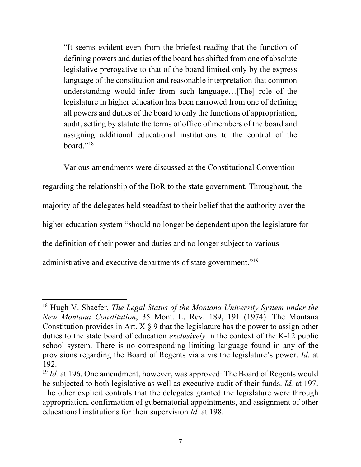"It seems evident even from the briefest reading that the function of defining powers and duties of the board hasshifted from one of absolute legislative prerogative to that of the board limited only by the express language of the constitution and reasonable interpretation that common understanding would infer from such language…[The] role of the legislature in higher education has been narrowed from one of defining all powers and duties of the board to only the functions of appropriation, audit, setting by statute the terms of office of members of the board and assigning additional educational institutions to the control of the board."[18](#page-11-0)

Various amendments were discussed at the Constitutional Convention regarding the relationship of the BoR to the state government. Throughout, the majority of the delegates held steadfast to their belief that the authority over the higher education system "should no longer be dependent upon the legislature for the definition of their power and duties and no longer subject to various administrative and executive departments of state government."<sup>[19](#page-11-1)</sup>

<span id="page-11-0"></span><sup>18</sup> Hugh V. Shaefer, *The Legal Status of the Montana University System under the New Montana Constitution*, 35 Mont. L. Rev. 189, 191 (1974). The Montana Constitution provides in Art.  $X \S 9$  that the legislature has the power to assign other duties to the state board of education *exclusively* in the context of the K-12 public school system. There is no corresponding limiting language found in any of the provisions regarding the Board of Regents via a vis the legislature's power. *Id*. at 192.

<span id="page-11-1"></span><sup>&</sup>lt;sup>19</sup> *Id.* at 196. One amendment, however, was approved: The Board of Regents would be subjected to both legislative as well as executive audit of their funds. *Id.* at 197. The other explicit controls that the delegates granted the legislature were through appropriation, confirmation of gubernatorial appointments, and assignment of other educational institutions for their supervision *Id.* at 198.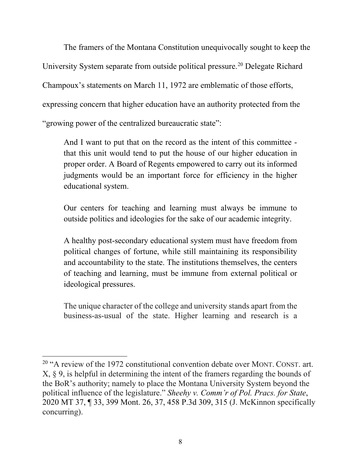The framers of the Montana Constitution unequivocally sought to keep the University System separate from outside political pressure.<sup>[20](#page-12-0)</sup> Delegate Richard Champoux's statements on March 11, 1972 are emblematic of those efforts, expressing concern that higher education have an authority protected from the "growing power of the centralized bureaucratic state":

And I want to put that on the record as the intent of this committee that this unit would tend to put the house of our higher education in proper order. A Board of Regents empowered to carry out its informed judgments would be an important force for efficiency in the higher educational system.

Our centers for teaching and learning must always be immune to outside politics and ideologies for the sake of our academic integrity.

A healthy post-secondary educational system must have freedom from political changes of fortune, while still maintaining its responsibility and accountability to the state. The institutions themselves, the centers of teaching and learning, must be immune from external political or ideological pressures.

The unique character of the college and university stands apart from the business-as-usual of the state. Higher learning and research is a

<span id="page-12-0"></span> $20$  "A review of the 1972 constitutional convention debate over MONT. CONST. art. X, § 9, is helpful in determining the intent of the framers regarding the bounds of the BoR's authority; namely to place the Montana University System beyond the political influence of the legislature." *Sheehy v. Comm'r of Pol. Pracs. for State*, 2020 MT 37, ¶ 33, 399 Mont. 26, 37, 458 P.3d 309, 315 (J. McKinnon specifically concurring).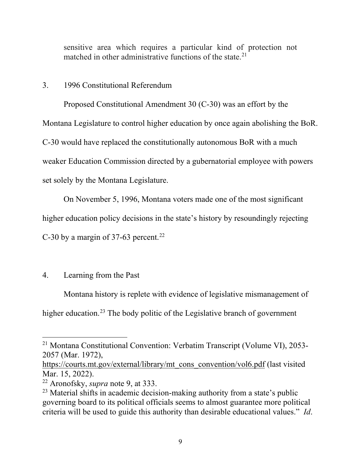sensitive area which requires a particular kind of protection not matched in other administrative functions of the state.<sup>[21](#page-13-0)</sup>

#### 3. 1996 Constitutional Referendum

Proposed Constitutional Amendment 30 (C-30) was an effort by the Montana Legislature to control higher education by once again abolishing the BoR. C-30 would have replaced the constitutionally autonomous BoR with a much weaker Education Commission directed by a gubernatorial employee with powers set solely by the Montana Legislature.

On November 5, 1996, Montana voters made one of the most significant

higher education policy decisions in the state's history by resoundingly rejecting

C-30 by a margin of 37-63 percent.<sup>[22](#page-13-1)</sup>

### 4. Learning from the Past

 $\overline{a}$ 

Montana history is replete with evidence of legislative mismanagement of higher education.<sup>[23](#page-13-2)</sup> The body politic of the Legislative branch of government

<span id="page-13-0"></span><sup>21</sup> Montana Constitutional Convention: Verbatim Transcript (Volume VI), 2053- 2057 (Mar. 1972),

[https://courts.mt.gov/external/library/mt\\_cons\\_convention/vol6.pdf](https://courts.mt.gov/external/library/mt_cons_convention/vol6.pdf) (last visited Mar. 15, 2022).

<span id="page-13-1"></span><sup>22</sup> Aronofsky, *supra* note 9, at 333.

<span id="page-13-2"></span><sup>&</sup>lt;sup>23</sup> Material shifts in academic decision-making authority from a state's public governing board to its political officials seems to almost guarantee more political criteria will be used to guide this authority than desirable educational values." *Id*.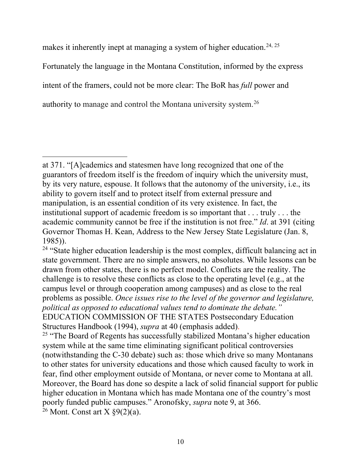makes it inherently inept at managing a system of higher education.<sup>[24](#page-14-0), [25](#page-14-1)</sup> Fortunately the language in the Montana Constitution, informed by the express intent of the framers, could not be more clear: The BoR has *full* power and authority to manage and control the Montana university system.[26](#page-14-2)

 $\overline{a}$ at 371. "[A]cademics and statesmen have long recognized that one of the guarantors of freedom itself is the freedom of inquiry which the university must, by its very nature, espouse. It follows that the autonomy of the university, i.e., its ability to govern itself and to protect itself from external pressure and manipulation, is an essential condition of its very existence. In fact, the institutional support of academic freedom is so important that . . . truly . . . the academic community cannot be free if the institution is not free." *Id*. at 391 (citing Governor Thomas H. Kean, Address to the New Jersey State Legislature (Jan. 8, 1985)).

<span id="page-14-0"></span><sup>&</sup>lt;sup>24</sup> "State higher education leadership is the most complex, difficult balancing act in state government. There are no simple answers, no absolutes. While lessons can be drawn from other states, there is no perfect model. Conflicts are the reality. The challenge is to resolve these conflicts as close to the operating level (e.g., at the campus level or through cooperation among campuses) and as close to the real problems as possible. *Once issues rise to the level of the governor and legislature, political as opposed to educational values tend to dominate the debate."* EDUCATION COMMISSION OF THE STATES Postsecondary Education Structures Handbook (1994), *supra* at 40 (emphasis added).

<span id="page-14-1"></span><sup>&</sup>lt;sup>25</sup> "The Board of Regents has successfully stabilized Montana's higher education system while at the same time eliminating significant political controversies (notwithstanding the C-30 debate) such as: those which drive so many Montanans to other states for university educations and those which caused faculty to work in fear, find other employment outside of Montana, or never come to Montana at all. Moreover, the Board has done so despite a lack of solid financial support for public higher education in Montana which has made Montana one of the country's most poorly funded public campuses." Aronofsky, *supra* note 9, at 366.

<span id="page-14-2"></span> $26$  Mont. Const art X  $\frac{89(2)}{a}$ .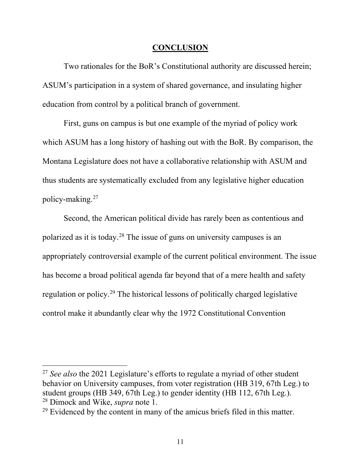#### **CONCLUSION**

Two rationales for the BoR's Constitutional authority are discussed herein; ASUM's participation in a system of shared governance, and insulating higher education from control by a political branch of government.

First, guns on campus is but one example of the myriad of policy work which ASUM has a long history of hashing out with the BoR. By comparison, the Montana Legislature does not have a collaborative relationship with ASUM and thus students are systematically excluded from any legislative higher education policy-making.[27](#page-15-0)

Second, the American political divide has rarely been as contentious and polarized as it is today.[28](#page-15-1) The issue of guns on university campuses is an appropriately controversial example of the current political environment. The issue has become a broad political agenda far beyond that of a mere health and safety regulation or policy.[29](#page-15-2) The historical lessons of politically charged legislative control make it abundantly clear why the 1972 Constitutional Convention

<span id="page-15-0"></span><sup>27</sup> *See also* the 2021 Legislature's efforts to regulate a myriad of other student behavior on University campuses, from voter registration (HB 319, 67th Leg.) to student groups (HB 349, 67th Leg.) to gender identity (HB 112, 67th Leg.). <sup>28</sup> Dimock and Wike, *supra* note 1.

<span id="page-15-2"></span><span id="page-15-1"></span> $29$  Evidenced by the content in many of the amicus briefs filed in this matter.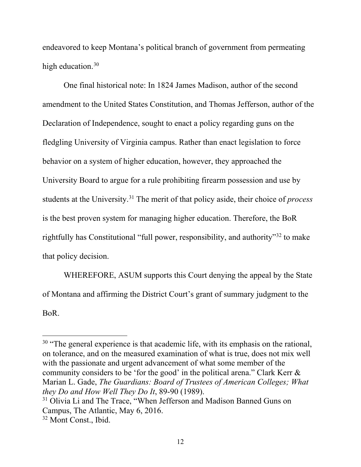endeavored to keep Montana's political branch of government from permeating high education.<sup>[30](#page-16-0)</sup>

One final historical note: In 1824 James Madison, author of the second amendment to the United States Constitution, and Thomas Jefferson, author of the Declaration of Independence, sought to enact a policy regarding guns on the fledgling University of Virginia campus. Rather than enact legislation to force behavior on a system of higher education, however, they approached the University Board to argue for a rule prohibiting firearm possession and use by students at the University. [31](#page-16-1) The merit of that policy aside, their choice of *process* is the best proven system for managing higher education. Therefore, the BoR rightfully has Constitutional "full power, responsibility, and authority"[32](#page-16-2) to make that policy decision.

WHEREFORE, ASUM supports this Court denying the appeal by the State of Montana and affirming the District Court's grant of summary judgment to the BoR.

<span id="page-16-0"></span> $30$  "The general experience is that academic life, with its emphasis on the rational, on tolerance, and on the measured examination of what is true, does not mix well with the passionate and urgent advancement of what some member of the community considers to be 'for the good' in the political arena." Clark Kerr & Marian L. Gade, *The Guardians: Board of Trustees of American Colleges; What they Do and How Well They Do It*, 89-90 (1989).

<span id="page-16-1"></span><sup>&</sup>lt;sup>31</sup> Olivia Li and The Trace, "When Jefferson and Madison Banned Guns on Campus, The Atlantic, May 6, 2016.

<span id="page-16-2"></span><sup>&</sup>lt;sup>32</sup> Mont Const., Ibid.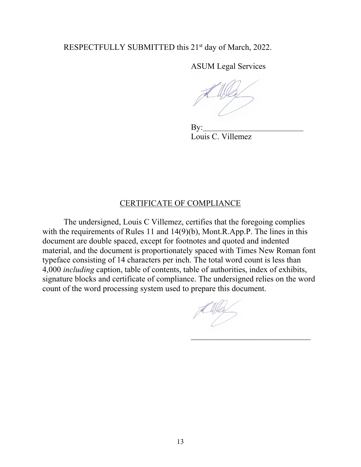#### RESPECTFULLY SUBMITTED this 21<sup>st</sup> day of March, 2022.

ASUM Legal Services

 By: Louis C. Villemez

#### CERTIFICATE OF COMPLIANCE

The undersigned, Louis C Villemez, certifies that the foregoing complies with the requirements of Rules 11 and 14(9)(b), Mont.R.App.P. The lines in this document are double spaced, except for footnotes and quoted and indented material, and the document is proportionately spaced with Times New Roman font typeface consisting of 14 characters per inch. The total word count is less than 4,000 *including* caption, table of contents, table of authorities, index of exhibits, signature blocks and certificate of compliance. The undersigned relies on the word count of the word processing system used to prepare this document.

 $\overline{\phantom{a}}$  , and the set of the set of the set of the set of the set of the set of the set of the set of the set of the set of the set of the set of the set of the set of the set of the set of the set of the set of the s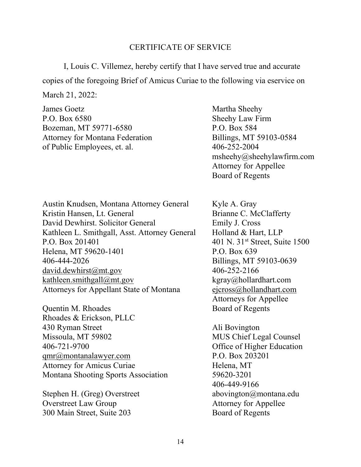#### CERTIFICATE OF SERVICE

I, Louis C. Villemez, hereby certify that I have served true and accurate copies of the foregoing Brief of Amicus Curiae to the following via eservice on March 21, 2022:

James Goetz Martha Sheehy P.O. Box 6580 Sheehy Law Firm Bozeman, MT 59771-6580 P.O. Box 584 Attorney for Montana Federation Billings, MT 59103-0584 of Public Employees, et. al. 406-252-2004

Austin Knudsen, Montana Attorney General Kyle A. Gray Kristin Hansen, Lt. General Brianne C. McClafferty David Dewhirst. Solicitor General Emily J. Cross Kathleen L. Smithgall, Asst. Attorney General Holland & Hart, LLP P.O. Box 201401 401 N. 31<sup>st</sup> Street, Suite 1500 Helena, MT 59620-1401 P.O. Box 639 406-444-2026 Billings, MT 59103-0639  $david. dewhirst@mt.gov$  406-252-2166 [kathleen.smithgall@mt.gov](mailto:kathleen.smithgall@mt.gov) kgray@hollardhart.com Attorneys for Appellant State of Montana [ejcross@hollandhart.com](mailto:ejcross@hollandhart.com)

Quentin M. Rhoades Board of Regents Rhoades & Erickson, PLLC 430 Ryman Street Ali Bovington Missoula, MT 59802 MUS Chief Legal Counsel 406-721-9700 Office of Higher Education [qmr@montanalawyer.com](mailto:qmr@montanalawyer.com) P.O. Box 203201 Attorney for Amicus Curiae Helena, MT Montana Shooting Sports Association 59620-3201

Stephen H. (Greg) Overstreet abovington@montana.edu Overstreet Law Group Attorney for Appellee 300 Main Street, Suite 203 Board of Regents

msheehy@sheehylawfirm.com Attorney for Appellee Board of Regents

Attorneys for Appellee

406-449-9166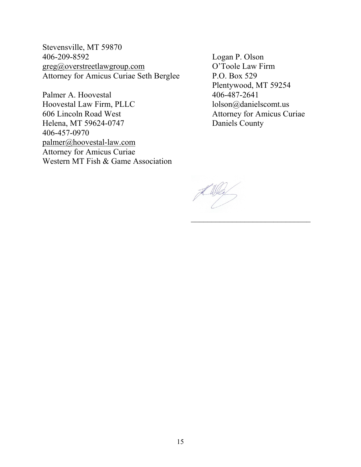Stevensville, MT 59870  $greg@overstree1awgroup.com$ Attorney for Amicus Curiae Seth Berglee P.O. Box 529

Palmer A. Hoovestal 406-487-2641 Hoovestal Law Firm, PLLC lolson@danielscomt.us 606 Lincoln Road West Attorney for Amicus Curiae Helena, MT 59624-0747 Daniels County 406-457-0970 [palmer@hoovestal-law.com](mailto:palmer@hoovestal-law.com) Attorney for Amicus Curiae Western MT Fish & Game Association

Logan P. Olson<br>O'Toole Law Firm Plentywood, MT 59254

 $\overline{\phantom{a}}$  , and the set of the set of the set of the set of the set of the set of the set of the set of the set of the set of the set of the set of the set of the set of the set of the set of the set of the set of the s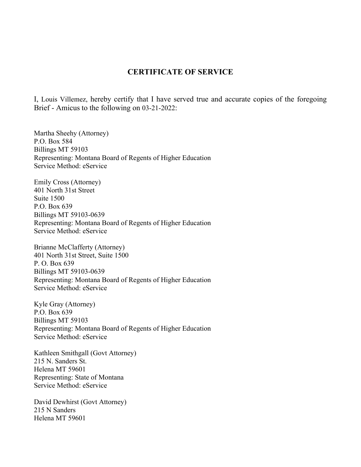#### **CERTIFICATE OF SERVICE**

I, Louis Villemez, hereby certify that I have served true and accurate copies of the foregoing Brief - Amicus to the following on 03-21-2022:

Martha Sheehy (Attorney) P.O. Box 584 Billings MT 59103 Representing: Montana Board of Regents of Higher Education Service Method: eService

Emily Cross (Attorney) 401 North 31st Street Suite 1500 P.O. Box 639 Billings MT 59103-0639 Representing: Montana Board of Regents of Higher Education Service Method: eService

Brianne McClafferty (Attorney) 401 North 31st Street, Suite 1500 P. O. Box 639 Billings MT 59103-0639 Representing: Montana Board of Regents of Higher Education Service Method: eService

Kyle Gray (Attorney) P.O. Box 639 Billings MT 59103 Representing: Montana Board of Regents of Higher Education Service Method: eService

Kathleen Smithgall (Govt Attorney) 215 N. Sanders St. Helena MT 59601 Representing: State of Montana Service Method: eService

David Dewhirst (Govt Attorney) 215 N Sanders Helena MT 59601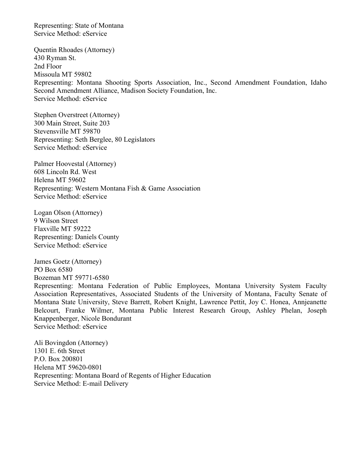Representing: State of Montana Service Method: eService

Quentin Rhoades (Attorney) 430 Ryman St. 2nd Floor Missoula MT 59802 Representing: Montana Shooting Sports Association, Inc., Second Amendment Foundation, Idaho Second Amendment Alliance, Madison Society Foundation, Inc. Service Method: eService

Stephen Overstreet (Attorney) 300 Main Street, Suite 203 Stevensville MT 59870 Representing: Seth Berglee, 80 Legislators Service Method: eService

Palmer Hoovestal (Attorney) 608 Lincoln Rd. West Helena MT 59602 Representing: Western Montana Fish & Game Association Service Method: eService

Logan Olson (Attorney) 9 Wilson Street Flaxville MT 59222 Representing: Daniels County Service Method: eService

James Goetz (Attorney) PO Box 6580 Bozeman MT 59771-6580

Representing: Montana Federation of Public Employees, Montana University System Faculty Association Representatives, Associated Students of the University of Montana, Faculty Senate of Montana State University, Steve Barrett, Robert Knight, Lawrence Pettit, Joy C. Honea, Annjeanette Belcourt, Franke Wilmer, Montana Public Interest Research Group, Ashley Phelan, Joseph Knappenberger, Nicole Bondurant Service Method: eService

Ali Bovingdon (Attorney) 1301 E. 6th Street P.O. Box 200801 Helena MT 59620-0801 Representing: Montana Board of Regents of Higher Education Service Method: E-mail Delivery